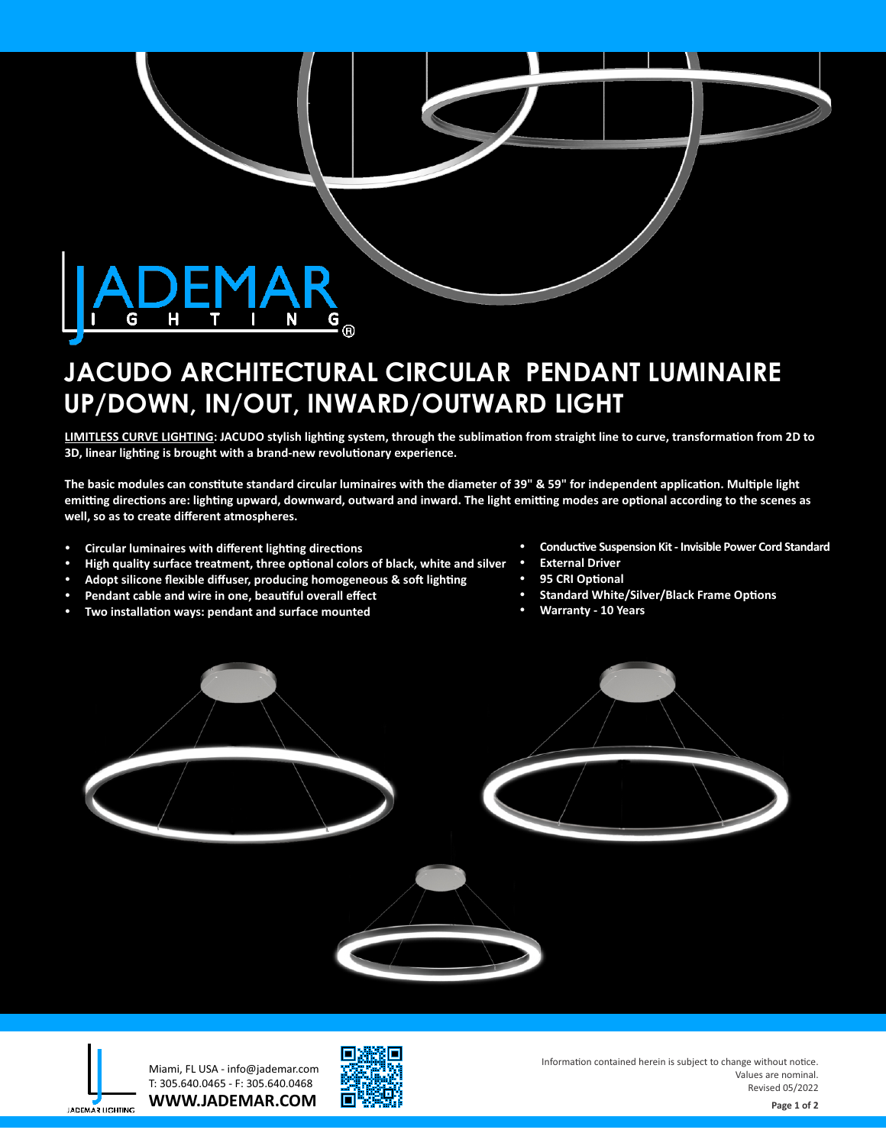

# **JACUDO ARCHITECTURAL CIRCULAR PENDANT LUMINAIRE UP/DOWN, IN/OUT, INWARD/OUTWARD LIGHT**

**LIMITLESS CURVE LIGHTING: JACUDO stylish lighting system, through the sublimation from straight line to curve, transformation from 2D to 3D, linear lighting is brought with a brand-new revolutionary experience.** 

The basic modules can constitute standard circular luminaires with the diameter of 39" & 59" for independent application. Multiple light emitting directions are: lighting upward, downward, outward and inward. The light emitting modes are optional according to the scenes as **well, so as to create different atmospheres.**

- **•** Circular luminaires with different lighting directions
- High quality surface treatment, three optional colors of black, white and silver
- Adopt silicone flexible diffuser, producing homogeneous & soft lighting
- Pendant cable and wire in one, beautiful overall effect
- Two installation ways: pendant and surface mounted
- **Conductive Suspension Kit Invisible Power Cord Standard**
- **External Driver**
- **95 CRI Optional**
- **Standard White/Silver/Black Frame Options**
- **Warranty 10 Years**



**WWW.JADEMAR.COM** Miami, FL USA - info@jademar.com T: 305.640.0465 - F: 305.640.0468



Information contained herein is subject to change without notice. Values are nominal. Revised 05/2022